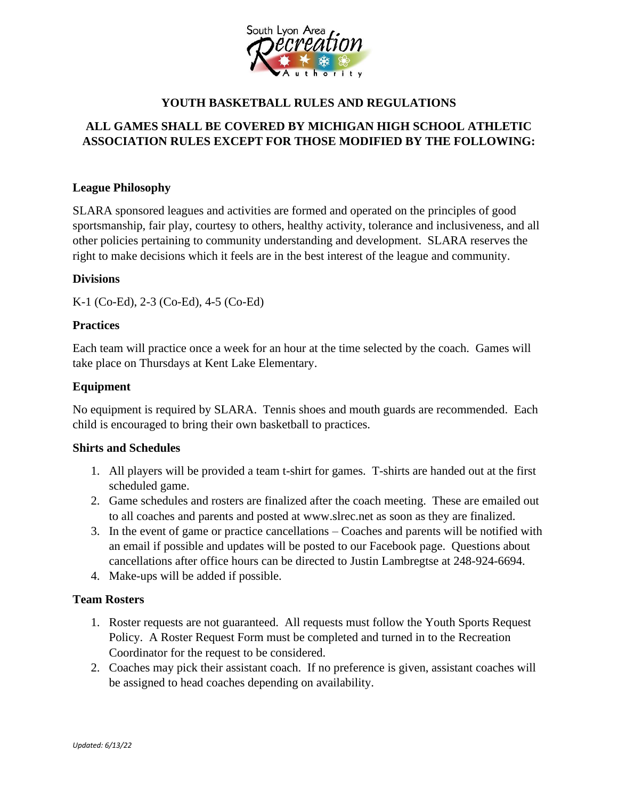

# **YOUTH BASKETBALL RULES AND REGULATIONS**

# **ALL GAMES SHALL BE COVERED BY MICHIGAN HIGH SCHOOL ATHLETIC ASSOCIATION RULES EXCEPT FOR THOSE MODIFIED BY THE FOLLOWING:**

### **League Philosophy**

SLARA sponsored leagues and activities are formed and operated on the principles of good sportsmanship, fair play, courtesy to others, healthy activity, tolerance and inclusiveness, and all other policies pertaining to community understanding and development. SLARA reserves the right to make decisions which it feels are in the best interest of the league and community.

### **Divisions**

K-1 (Co-Ed), 2-3 (Co-Ed), 4-5 (Co-Ed)

### **Practices**

Each team will practice once a week for an hour at the time selected by the coach. Games will take place on Thursdays at Kent Lake Elementary.

### **Equipment**

No equipment is required by SLARA. Tennis shoes and mouth guards are recommended. Each child is encouraged to bring their own basketball to practices.

### **Shirts and Schedules**

- 1. All players will be provided a team t-shirt for games. T-shirts are handed out at the first scheduled game.
- 2. Game schedules and rosters are finalized after the coach meeting. These are emailed out to all coaches and parents and posted at www.slrec.net as soon as they are finalized.
- 3. In the event of game or practice cancellations Coaches and parents will be notified with an email if possible and updates will be posted to our Facebook page. Questions about cancellations after office hours can be directed to Justin Lambregtse at 248-924-6694.
- 4. Make-ups will be added if possible.

### **Team Rosters**

- 1. Roster requests are not guaranteed. All requests must follow the Youth Sports Request Policy. A Roster Request Form must be completed and turned in to the Recreation Coordinator for the request to be considered.
- 2. Coaches may pick their assistant coach. If no preference is given, assistant coaches will be assigned to head coaches depending on availability.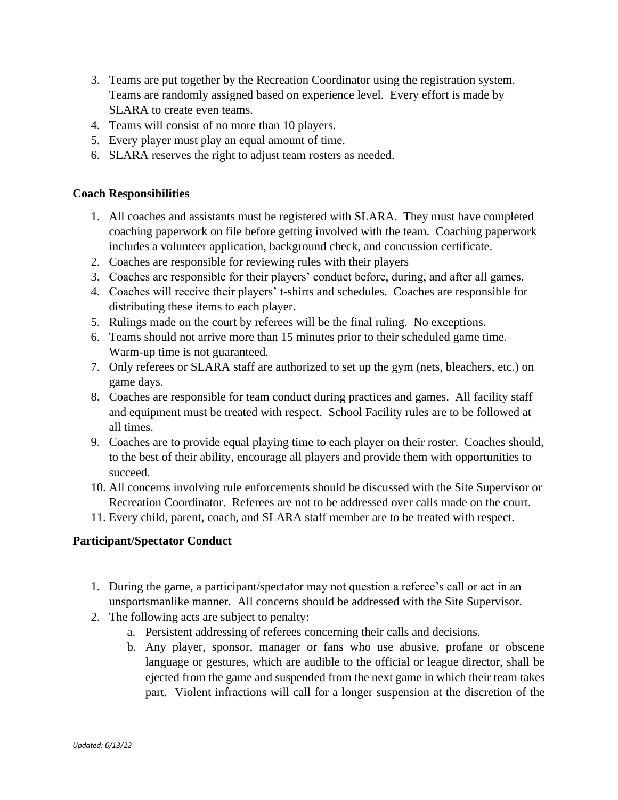- 3. Teams are put together by the Recreation Coordinator using the registration system. Teams are randomly assigned based on experience level. Every effort is made by SLARA to create even teams.
- 4. Teams will consist of no more than 10 players.
- 5. Every player must play an equal amount of time.
- 6. SLARA reserves the right to adjust team rosters as needed.

### **Coach Responsibilities**

- 1. All coaches and assistants must be registered with SLARA. They must have completed coaching paperwork on file before getting involved with the team. Coaching paperwork includes a volunteer application, background check, and concussion certificate.
- 2. Coaches are responsible for reviewing rules with their players
- 3. Coaches are responsible for their players' conduct before, during, and after all games.
- 4. Coaches will receive their players' t-shirts and schedules. Coaches are responsible for distributing these items to each player.
- 5. Rulings made on the court by referees will be the final ruling. No exceptions.
- 6. Teams should not arrive more than 15 minutes prior to their scheduled game time. Warm-up time is not guaranteed.
- 7. Only referees or SLARA staff are authorized to set up the gym (nets, bleachers, etc.) on game days.
- 8. Coaches are responsible for team conduct during practices and games. All facility staff and equipment must be treated with respect. School Facility rules are to be followed at all times.
- 9. Coaches are to provide equal playing time to each player on their roster. Coaches should, to the best of their ability, encourage all players and provide them with opportunities to succeed.
- 10. All concerns involving rule enforcements should be discussed with the Site Supervisor or Recreation Coordinator. Referees are not to be addressed over calls made on the court.
- 11. Every child, parent, coach, and SLARA staff member are to be treated with respect.

## **Participant/Spectator Conduct**

- 1. During the game, a participant/spectator may not question a referee's call or act in an unsportsmanlike manner. All concerns should be addressed with the Site Supervisor.
- 2. The following acts are subject to penalty:
	- a. Persistent addressing of referees concerning their calls and decisions.
	- b. Any player, sponsor, manager or fans who use abusive, profane or obscene language or gestures, which are audible to the official or league director, shall be ejected from the game and suspended from the next game in which their team takes part. Violent infractions will call for a longer suspension at the discretion of the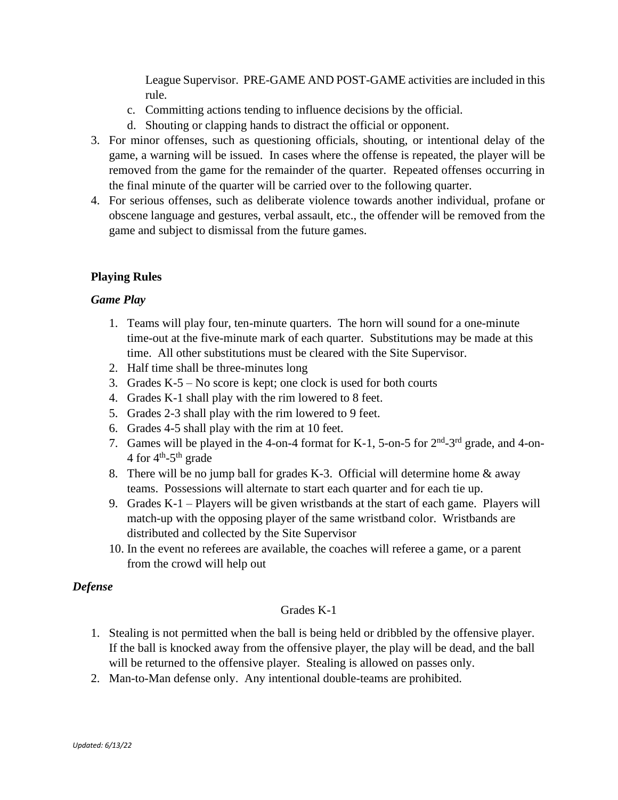League Supervisor. PRE-GAME AND POST-GAME activities are included in this rule.

- c. Committing actions tending to influence decisions by the official.
- d. Shouting or clapping hands to distract the official or opponent.
- 3. For minor offenses, such as questioning officials, shouting, or intentional delay of the game, a warning will be issued. In cases where the offense is repeated, the player will be removed from the game for the remainder of the quarter. Repeated offenses occurring in the final minute of the quarter will be carried over to the following quarter.
- 4. For serious offenses, such as deliberate violence towards another individual, profane or obscene language and gestures, verbal assault, etc., the offender will be removed from the game and subject to dismissal from the future games.

# **Playing Rules**

## *Game Play*

- 1. Teams will play four, ten-minute quarters. The horn will sound for a one-minute time-out at the five-minute mark of each quarter. Substitutions may be made at this time. All other substitutions must be cleared with the Site Supervisor.
- 2. Half time shall be three-minutes long
- 3. Grades K-5 No score is kept; one clock is used for both courts
- 4. Grades K-1 shall play with the rim lowered to 8 feet.
- 5. Grades 2-3 shall play with the rim lowered to 9 feet.
- 6. Grades 4-5 shall play with the rim at 10 feet.
- 7. Games will be played in the 4-on-4 format for K-1, 5-on-5 for  $2<sup>nd</sup>$ -3<sup>rd</sup> grade, and 4-on-4 for  $4^{\text{th}}$ -5<sup>th</sup> grade
- 8. There will be no jump ball for grades K-3. Official will determine home & away teams. Possessions will alternate to start each quarter and for each tie up.
- 9. Grades K-1 Players will be given wristbands at the start of each game. Players will match-up with the opposing player of the same wristband color. Wristbands are distributed and collected by the Site Supervisor
- 10. In the event no referees are available, the coaches will referee a game, or a parent from the crowd will help out

## *Defense*

## Grades K-1

- 1. Stealing is not permitted when the ball is being held or dribbled by the offensive player. If the ball is knocked away from the offensive player, the play will be dead, and the ball will be returned to the offensive player. Stealing is allowed on passes only.
- 2. Man-to-Man defense only. Any intentional double-teams are prohibited.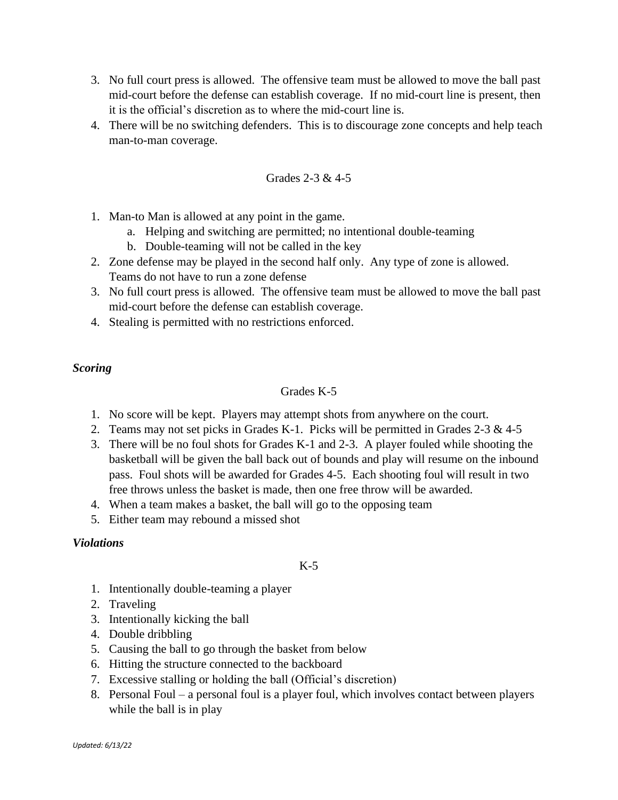- 3. No full court press is allowed. The offensive team must be allowed to move the ball past mid-court before the defense can establish coverage. If no mid-court line is present, then it is the official's discretion as to where the mid-court line is.
- 4. There will be no switching defenders. This is to discourage zone concepts and help teach man-to-man coverage.

Grades 2-3 & 4-5

- 1. Man-to Man is allowed at any point in the game.
	- a. Helping and switching are permitted; no intentional double-teaming
	- b. Double-teaming will not be called in the key
- 2. Zone defense may be played in the second half only. Any type of zone is allowed. Teams do not have to run a zone defense
- 3. No full court press is allowed. The offensive team must be allowed to move the ball past mid-court before the defense can establish coverage.
- 4. Stealing is permitted with no restrictions enforced.

### *Scoring*

#### Grades K-5

- 1. No score will be kept. Players may attempt shots from anywhere on the court.
- 2. Teams may not set picks in Grades K-1. Picks will be permitted in Grades 2-3  $\&$  4-5
- 3. There will be no foul shots for Grades K-1 and 2-3. A player fouled while shooting the basketball will be given the ball back out of bounds and play will resume on the inbound pass. Foul shots will be awarded for Grades 4-5. Each shooting foul will result in two free throws unless the basket is made, then one free throw will be awarded.
- 4. When a team makes a basket, the ball will go to the opposing team
- 5. Either team may rebound a missed shot

### *Violations*

### $K-5$

- 1. Intentionally double-teaming a player
- 2. Traveling
- 3. Intentionally kicking the ball
- 4. Double dribbling
- 5. Causing the ball to go through the basket from below
- 6. Hitting the structure connected to the backboard
- 7. Excessive stalling or holding the ball (Official's discretion)
- 8. Personal Foul a personal foul is a player foul, which involves contact between players while the ball is in play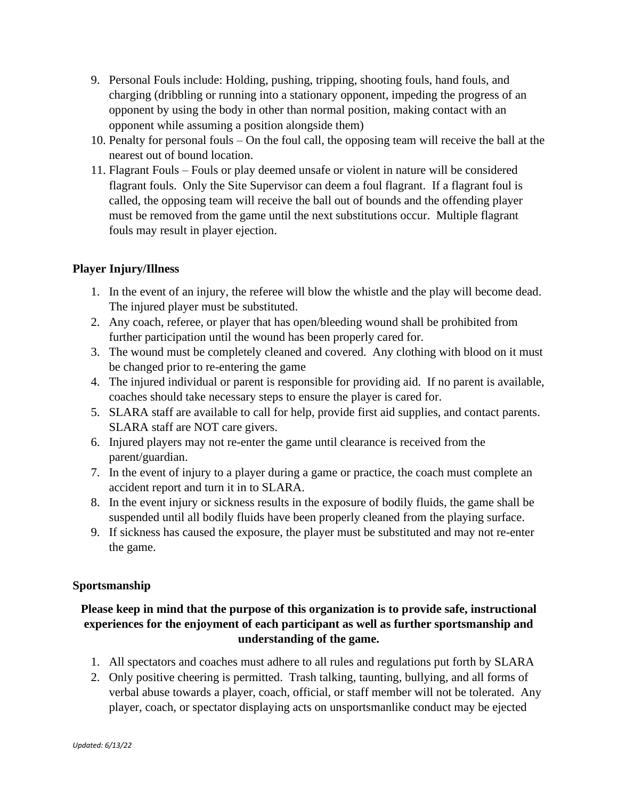- 9. Personal Fouls include: Holding, pushing, tripping, shooting fouls, hand fouls, and charging (dribbling or running into a stationary opponent, impeding the progress of an opponent by using the body in other than normal position, making contact with an opponent while assuming a position alongside them)
- 10. Penalty for personal fouls On the foul call, the opposing team will receive the ball at the nearest out of bound location.
- 11. Flagrant Fouls Fouls or play deemed unsafe or violent in nature will be considered flagrant fouls. Only the Site Supervisor can deem a foul flagrant. If a flagrant foul is called, the opposing team will receive the ball out of bounds and the offending player must be removed from the game until the next substitutions occur. Multiple flagrant fouls may result in player ejection.

# **Player Injury/Illness**

- 1. In the event of an injury, the referee will blow the whistle and the play will become dead. The injured player must be substituted.
- 2. Any coach, referee, or player that has open/bleeding wound shall be prohibited from further participation until the wound has been properly cared for.
- 3. The wound must be completely cleaned and covered. Any clothing with blood on it must be changed prior to re-entering the game
- 4. The injured individual or parent is responsible for providing aid. If no parent is available, coaches should take necessary steps to ensure the player is cared for.
- 5. SLARA staff are available to call for help, provide first aid supplies, and contact parents. SLARA staff are NOT care givers.
- 6. Injured players may not re-enter the game until clearance is received from the parent/guardian.
- 7. In the event of injury to a player during a game or practice, the coach must complete an accident report and turn it in to SLARA.
- 8. In the event injury or sickness results in the exposure of bodily fluids, the game shall be suspended until all bodily fluids have been properly cleaned from the playing surface.
- 9. If sickness has caused the exposure, the player must be substituted and may not re-enter the game.

## **Sportsmanship**

# **Please keep in mind that the purpose of this organization is to provide safe, instructional experiences for the enjoyment of each participant as well as further sportsmanship and understanding of the game.**

- 1. All spectators and coaches must adhere to all rules and regulations put forth by SLARA
- 2. Only positive cheering is permitted. Trash talking, taunting, bullying, and all forms of verbal abuse towards a player, coach, official, or staff member will not be tolerated. Any player, coach, or spectator displaying acts on unsportsmanlike conduct may be ejected